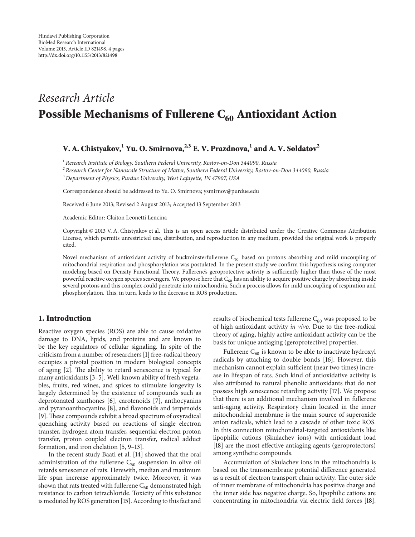# *Research Article* Possible Mechanisms of Fullerene  $C_{60}$  Antioxidant Action

# V. A. Chistyakov,<sup>1</sup> Yu. O. Smirnova,<sup>2,3</sup> E. V. Prazdnova,<sup>1</sup> and A. V. Soldatov<sup>2</sup>

<sup>1</sup> *Research Institute of Biology, Southern Federal University, Rostov-on-Don* 344090*, Russia*

<sup>2</sup> *Research Center for Nanoscale Structure of Matter, Southern Federal University, Rostov-on-Don* 344090*, Russia*

<sup>3</sup> *Department of Physics, Purdue University, West Lafayette, IN* 47907*, USA*

Correspondence should be addressed to Yu. O. Smirnova; ysmirnov@purdue.edu

Received 6 June 2013; Revised 2 August 2013; Accepted 13 September 2013

Academic Editor: Claiton Leonetti Lencina

Copyright © 2013 V. A. Chistyakov et al. Tis is an open access article distributed under the Creative Commons Attribution License, which permits unrestricted use, distribution, and reproduction in any medium, provided the original work is properly cited.

Novel mechanism of antioxidant activity of buckminsterfullerene  $C_{60}$  based on protons absorbing and mild uncoupling of mitochondrial respiration and phosphorylation was postulated. In the present study we confrm this hypothesis using computer modeling based on Density Functional Theory. Fullerene's geroprotective activity is sufficiently higher than those of the most powerful reactive oxygen species scavengers. We propose here that  $C_{60}$  has an ability to acquire positive charge by absorbing inside several protons and this complex could penetrate into mitochondria. Such a process allows for mild uncoupling of respiration and phosphorylation. This, in turn, leads to the decrease in ROS production.

### 1. Introduction

Reactive oxygen species (ROS) are able to cause oxidative damage to DNA, lipids, and proteins and are known to be the key regulators of cellular signaling. In spite of the criticism from a number of researchers [1] free-radical theory occupies a pivotal position in modern biological concepts of aging [2]. The ability to retard senescence is typical for many antioxidants [3–5]. Well-known ability of fresh vegetables, fruits, red wines, and spices to stimulate longevity is largely determined by the existence of compounds such as deprotonated xanthones [6], carotenoids [7], anthocyanins and pyranoanthocyanins [8], and favonoids and terpenoids [9]. These compounds exhibit a broad spectrum of oxyradical quenching activity based on reactions of single electron transfer, hydrogen atom transfer, sequential electron proton transfer, proton coupled electron transfer, radical adduct formation, and iron chelation [5, 9–13].

In the recent study Baati et al. [14] showed that the oral administration of the fullerene  $C_{60}$  suspension in olive oil retards senescence of rats. Herewith, median and maximum life span increase approximately twice. Moreover, it was shown that rats treated with fullerene  $C_{60}$  demonstrated high resistance to carbon tetrachloride. Toxicity of this substance is mediated by ROS generation [15]. According to this fact and results of biochemical tests fullerene  $C_{60}$  was proposed to be of high antioxidant activity *in vivo*. Due to the free-radical theory of aging, highly active antioxidant activity can be the basis for unique antiaging (geroprotective) properties.

Fullerene  $C_{60}$  is known to be able to inactivate hydroxyl radicals by attaching to double bonds [16]. However, this mechanism cannot explain sufficient (near two times) increase in lifespan of rats. Such kind of antioxidative activity is also attributed to natural phenolic antioxidants that do not possess high senescence retarding activity [17]. We propose that there is an additional mechanism involved in fullerene anti-aging activity. Respiratory chain located in the inner mitochondrial membrane is the main source of superoxide anion radicals, which lead to a cascade of other toxic ROS. In this connection mitochondrial-targeted antioxidants like lipophilic cations (Skulachev ions) with antioxidant load [18] are the most effective antiaging agents (geroprotectors) among synthetic compounds.

Accumulation of Skulachev ions in the mitochondria is based on the transmembrane potential diference generated as a result of electron transport chain activity. The outer side of inner membrane of mitochondria has positive charge and the inner side has negative charge. So, lipophilic cations are concentrating in mitochondria via electric feld forces [18].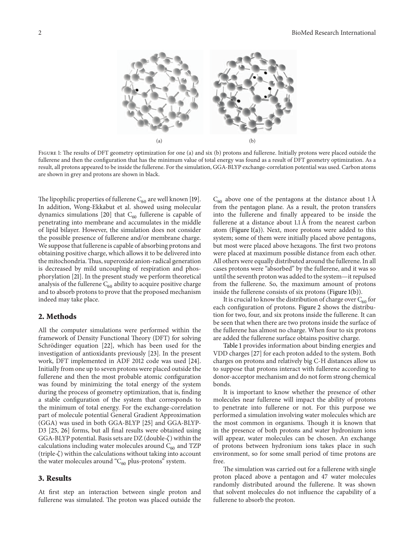

FIGURE 1: The results of DFT geometry optimization for one (a) and six (b) protons and fullerene. Initially protons were placed outside the fullerene and then the confguration that has the minimum value of total energy was found as a result of DFT geometry optimization. As a result, all protons appeared to be inside the fullerene. For the simulation, GGA-BLYP exchange-correlation potential was used. Carbon atoms are shown in grey and protons are shown in black.

The lipophilic properties of fullerene  $C_{60}$  are well known [19]. In addition, Wong-Ekkabut et al. showed using molecular dynamics simulations [20] that  $C_{60}$  fullerene is capable of penetrating into membrane and accumulates in the middle of lipid bilayer. However, the simulation does not consider the possible presence of fullerene and/or membrane charge. We suppose that fullerene is capable of absorbing protons and obtaining positive charge, which allows it to be delivered into the mitochondria. Thus, superoxide anion-radical generation is decreased by mild uncoupling of respiration and phosphorylation [21]. In the present study we perform theoretical analysis of the fullerene  $C_{60}$  ability to acquire positive charge and to absorb protons to prove that the proposed mechanism indeed may take place.

### 2. Methods

All the computer simulations were performed within the framework of Density Functional Theory (DFT) for solving Schrödinger equation [22], which has been used for the investigation of antioxidants previously [23]. In the present work, DFT implemented in ADF 2012 code was used [24]. Initially from one up to seven protons were placed outside the fullerene and then the most probable atomic confguration was found by minimizing the total energy of the system during the process of geometry optimization, that is, fnding a stable confguration of the system that corresponds to the minimum of total energy. For the exchange-correlation part of molecule potential General Gradient Approximation (GGA) was used in both GGA-BLYP [25] and GGA-BLYP-D3 [25, 26] forms, but all fnal results were obtained using GGA-BLYP potential. Basis sets are  $DZ$  (double- $\zeta$ ) within the calculations including water molecules around  $C_{60}$  and TZP  $(triple- $\zeta$ ) within the calculations without taking into account$ the water molecules around " $C_{60}$  plus-protons" system.

#### 3. Results

At frst step an interaction between single proton and fullerene was simulated. The proton was placed outside the  $C_{60}$  above one of the pentagons at the distance about 1 Å from the pentagon plane. As a result, the proton transfers into the fullerene and fnally appeared to be inside the fullerene at a distance about  $1.1 \text{ Å}$  from the nearest carbon atom (Figure 1(a)). Next, more protons were added to this system; some of them were initially placed above pentagons, but most were placed above hexagons. The first two protons were placed at maximum possible distance from each other. All others were equally distributed around the fullerene. In all cases protons were "absorbed" by the fullerene, and it was so until the seventh proton was added to the system—it repulsed from the fullerene. So, the maximum amount of protons inside the fullerene consists of six protons (Figure 1(b)).

It is crucial to know the distribution of charge over  $C_{60}$  for each confguration of protons. Figure 2 shows the distribution for two, four, and six protons inside the fullerene. It can be seen that when there are two protons inside the surface of the fullerene has almost no charge. When four to six protons are added the fullerene surface obtains positive charge.

Table 1 provides information about binding energies and VDD charges [27] for each proton added to the system. Both charges on protons and relatively big C-H distances allow us to suppose that protons interact with fullerene according to donor-acceptor mechanism and do not form strong chemical bonds.

It is important to know whether the presence of other molecules near fullerene will impact the ability of protons to penetrate into fullerene or not. For this purpose we performed a simulation involving water molecules which are the most common in organisms. Though it is known that in the presence of both protons and water hydronium ions will appear, water molecules can be chosen. An exchange of protons between hydronium ions takes place in such environment, so for some small period of time protons are free.

The simulation was carried out for a fullerene with single proton placed above a pentagon and 47 water molecules randomly distributed around the fullerene. It was shown that solvent molecules do not infuence the capability of a fullerene to absorb the proton.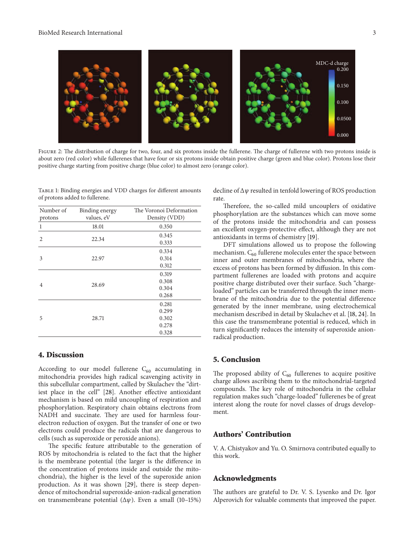

FIGURE 2: The distribution of charge for two, four, and six protons inside the fullerene. The charge of fullerene with two protons inside is about zero (red color) while fullerenes that have four or six protons inside obtain positive charge (green and blue color). Protons lose their positive charge starting from positive charge (blue color) to almost zero (orange color).

Table 1: Binding energies and VDD charges for diferent amounts of protons added to fullerene.

| Number of<br>protons | Binding energy<br>values, eV | The Voronoi Deformation<br>Density (VDD)  |
|----------------------|------------------------------|-------------------------------------------|
| 1                    | 18.01                        | 0.350                                     |
| $\overline{c}$       | 22.34                        | 0.345<br>0.333                            |
| 3                    | 22.97                        | 0.334<br>0.314<br>0.312                   |
| 4                    | 28.69                        | 0.319<br>0.308<br>0.304<br>0.268          |
| 5                    | 28.71                        | 0.281<br>0.299<br>0.302<br>0.278<br>0.328 |

## 4. Discussion

According to our model fullerene  $C_{60}$  accumulating in mitochondria provides high radical scavenging activity in this subcellular compartment, called by Skulachev the "dirtiest place in the cell" [28]. Another efective antioxidant mechanism is based on mild uncoupling of respiration and phosphorylation. Respiratory chain obtains electrons from NADH and succinate. They are used for harmless fourelectron reduction of oxygen. But the transfer of one or two electrons could produce the radicals that are dangerous to cells (such as superoxide or peroxide anions).

The specific feature attributable to the generation of ROS by mitochondria is related to the fact that the higher is the membrane potential (the larger is the diference in the concentration of protons inside and outside the mitochondria), the higher is the level of the superoxide anion production. As it was shown [29], there is steep dependence of mitochondrial superoxide-anion-radical generation on transmembrane potential  $(\Delta \psi)$ . Even a small (10-15%) decline of  $\Delta \psi$  resulted in tenfold lowering of ROS production rate.

Therefore, the so-called mild uncouplers of oxidative phosphorylation are the substances which can move some of the protons inside the mitochondria and can possess an excellent oxygen-protective efect, although they are not antioxidants in terms of chemistry [19].

DFT simulations allowed us to propose the following mechanism.  $\mathrm{C}_{60}$  fullerene molecules enter the space between inner and outer membranes of mitochondria, where the excess of protons has been formed by difusion. In this compartment fullerenes are loaded with protons and acquire positive charge distributed over their surface. Such "chargeloaded" particles can be transferred through the inner membrane of the mitochondria due to the potential diference generated by the inner membrane, using electrochemical mechanism described in detail by Skulachev et al. [18, 24]. In this case the transmembrane potential is reduced, which in turn signifcantly reduces the intensity of superoxide anionradical production.

#### 5. Conclusion

The proposed ability of  $C_{60}$  fullerenes to acquire positive charge allows ascribing them to the mitochondrial-targeted compounds. The key role of mitochondria in the cellular regulation makes such "charge-loaded" fullerenes be of great interest along the route for novel classes of drugs development.

# Authors' Contribution

V. A. Chistyakov and Yu. O. Smirnova contributed equally to this work.

#### Acknowledgments

The authors are grateful to Dr. V. S. Lysenko and Dr. Igor Alperovich for valuable comments that improved the paper.